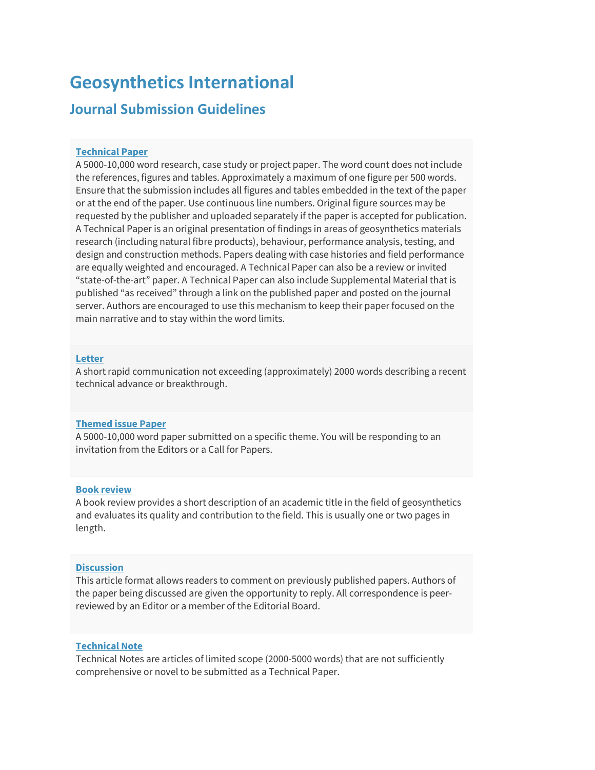# **Geosynthetics International**

# **Journal Submission Guidelines**

# **[Technical Paper](https://ice-review.rivervalley.io/journal/jgein/PPR/create-article)**

A 5000-10,000 word research, case study or project paper. The word count does not include the references, figures and tables. Approximately a maximum of one figure per 500 words. Ensure that the submission includes all figures and tables embedded in the text of the paper or at the end of the paper. Use continuous line numbers. Original figure sources may be requested by the publisher and uploaded separately if the paper is accepted for publication. A Technical Paper is an original presentation of findings in areas of geosynthetics materials research (including natural fibre products), behaviour, performance analysis, testing, and design and construction methods. Papers dealing with case histories and field performance are equally weighted and encouraged. A Technical Paper can also be a review or invited "state-of-the-art" paper. A Technical Paper can also include Supplemental Material that is published "as received" through a link on the published paper and posted on the journal server. Authors are encouraged to use this mechanism to keep their paper focused on the main narrative and to stay within the word limits.

# **[Letter](https://ice-review.rivervalley.io/journal/jgein/LTR/create-article)**

A short rapid communication not exceeding (approximately) 2000 words describing a recent technical advance or breakthrough.

## **[Themed issue Paper](https://ice-review.rivervalley.io/journal/jgein/THIS/create-article)**

A 5000-10,000 word paper submitted on a specific theme. You will be responding to an invitation from the Editors or a Call for Papers.

#### **[Book review](https://ice-review.rivervalley.io/journal/jgein/BKRV/create-article)**

A book review provides a short description of an academic title in the field of geosynthetics and evaluates its quality and contribution to the field. This is usually one or two pages in length.

## **[Discussion](https://ice-review.rivervalley.io/journal/jgein/DSCN/create-article)**

This article format allows readers to comment on previously published papers. Authors of the paper being discussed are given the opportunity to reply. All correspondence is peerreviewed by an Editor or a member of the Editorial Board.

# **[Technical Note](https://ice-review.rivervalley.io/journal/jgein/TN/create-article)**

Technical Notes are articles of limited scope (2000-5000 words) that are not sufficiently comprehensive or novel to be submitted as a Technical Paper.